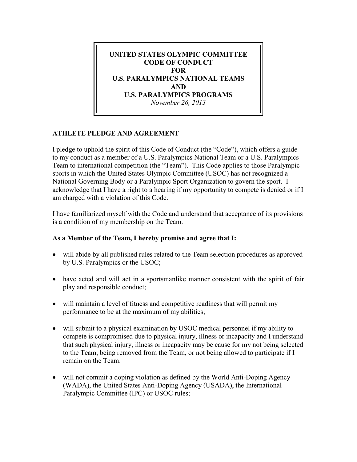

## **ATHLETE PLEDGE AND AGREEMENT**

I pledge to uphold the spirit of this Code of Conduct (the "Code"), which offers a guide to my conduct as a member of a U.S. Paralympics National Team or a U.S. Paralympics Team to international competition (the "Team"). This Code applies to those Paralympic sports in which the United States Olympic Committee (USOC) has not recognized a National Governing Body or a Paralympic Sport Organization to govern the sport. I acknowledge that I have a right to a hearing if my opportunity to compete is denied or if I am charged with a violation of this Code.

I have familiarized myself with the Code and understand that acceptance of its provisions is a condition of my membership on the Team.

## **As a Member of the Team, I hereby promise and agree that I:**

- will abide by all published rules related to the Team selection procedures as approved by U.S. Paralympics or the USOC;
- have acted and will act in a sportsmanlike manner consistent with the spirit of fair play and responsible conduct;
- will maintain a level of fitness and competitive readiness that will permit my performance to be at the maximum of my abilities;
- will submit to a physical examination by USOC medical personnel if my ability to compete is compromised due to physical injury, illness or incapacity and I understand that such physical injury, illness or incapacity may be cause for my not being selected to the Team, being removed from the Team, or not being allowed to participate if I remain on the Team.
- will not commit a doping violation as defined by the World Anti-Doping Agency (WADA), the United States Anti-Doping Agency (USADA), the International Paralympic Committee (IPC) or USOC rules;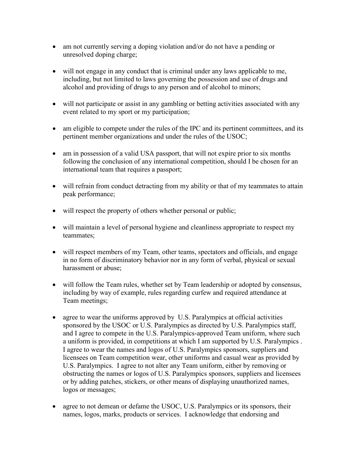- am not currently serving a doping violation and/or do not have a pending or unresolved doping charge;
- will not engage in any conduct that is criminal under any laws applicable to me, including, but not limited to laws governing the possession and use of drugs and alcohol and providing of drugs to any person and of alcohol to minors;
- will not participate or assist in any gambling or betting activities associated with any event related to my sport or my participation;
- am eligible to compete under the rules of the IPC and its pertinent committees, and its pertinent member organizations and under the rules of the USOC;
- am in possession of a valid USA passport, that will not expire prior to six months following the conclusion of any international competition, should I be chosen for an international team that requires a passport;
- will refrain from conduct detracting from my ability or that of my teammates to attain peak performance;
- will respect the property of others whether personal or public;
- will maintain a level of personal hygiene and cleanliness appropriate to respect my teammates;
- will respect members of my Team, other teams, spectators and officials, and engage in no form of discriminatory behavior nor in any form of verbal, physical or sexual harassment or abuse;
- will follow the Team rules, whether set by Team leadership or adopted by consensus, including by way of example, rules regarding curfew and required attendance at Team meetings;
- agree to wear the uniforms approved by U.S. Paralympics at official activities sponsored by the USOC or U.S. Paralympics as directed by U.S. Paralympics staff, and I agree to compete in the U.S. Paralympics-approved Team uniform, where such a uniform is provided, in competitions at which I am supported by U.S. Paralympics . I agree to wear the names and logos of U.S. Paralympics sponsors, suppliers and licensees on Team competition wear, other uniforms and casual wear as provided by U.S. Paralympics. I agree to not alter any Team uniform, either by removing or obstructing the names or logos of U.S. Paralympics sponsors, suppliers and licensees or by adding patches, stickers, or other means of displaying unauthorized names, logos or messages;
- agree to not demean or defame the USOC, U.S. Paralympics or its sponsors, their names, logos, marks, products or services. I acknowledge that endorsing and